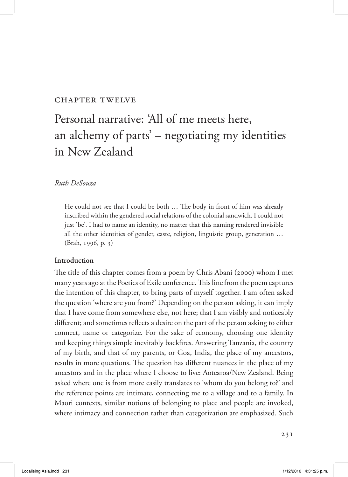# Chapter twelve

# Personal narrative: 'All of me meets here, an alchemy of parts' – negotiating my identities in New Zealand

## *Ruth DeSouza*

He could not see that I could be both … The body in front of him was already inscribed within the gendered social relations of the colonial sandwich. I could not just 'be'. I had to name an identity, no matter that this naming rendered invisible all the other identities of gender, caste, religion, linguistic group, generation … (Brah, 1996, p. 3)

# **Introduction**

The title of this chapter comes from a poem by Chris Abani (2000) whom I met many years ago at the Poetics of Exile conference. This line from the poem captures the intention of this chapter, to bring parts of myself together. I am often asked the question 'where are you from?' Depending on the person asking, it can imply that I have come from somewhere else, not here; that I am visibly and noticeably different; and sometimes reflects a desire on the part of the person asking to either connect, name or categorize. For the sake of economy, choosing one identity and keeping things simple inevitably backfires. Answering Tanzania, the country of my birth, and that of my parents, or Goa, India, the place of my ancestors, results in more questions. The question has different nuances in the place of my ancestors and in the place where I choose to live: Aotearoa/New Zealand. Being asked where one is from more easily translates to 'whom do you belong to?' and the reference points are intimate, connecting me to a village and to a family. In Māori contexts, similar notions of belonging to place and people are invoked, where intimacy and connection rather than categorization are emphasized. Such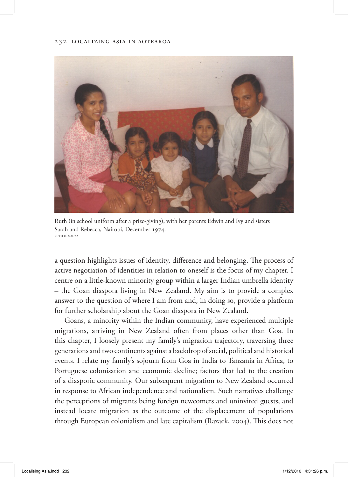

Ruth (in school uniform after a prize-giving), with her parents Edwin and Ivy and sisters Sarah and Rebecca, Nairobi, December 1974. Ruth DeSouza

a question highlights issues of identity, difference and belonging. The process of active negotiation of identities in relation to oneself is the focus of my chapter. I centre on a little-known minority group within a larger Indian umbrella identity – the Goan diaspora living in New Zealand. My aim is to provide a complex answer to the question of where I am from and, in doing so, provide a platform for further scholarship about the Goan diaspora in New Zealand.

Goans, a minority within the Indian community, have experienced multiple migrations, arriving in New Zealand often from places other than Goa. In this chapter, I loosely present my family's migration trajectory, traversing three generations and two continents against a backdrop of social, political and historical events. I relate my family's sojourn from Goa in India to Tanzania in Africa, to Portuguese colonisation and economic decline; factors that led to the creation of a diasporic community. Our subsequent migration to New Zealand occurred in response to African independence and nationalism. Such narratives challenge the perceptions of migrants being foreign newcomers and uninvited guests, and instead locate migration as the outcome of the displacement of populations through European colonialism and late capitalism (Razack, 2004). This does not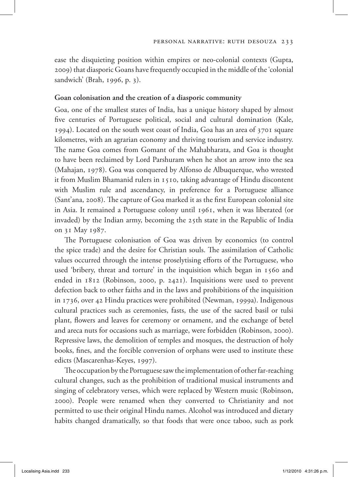ease the disquieting position within empires or neo-colonial contexts (Gupta, 2009) that diasporic Goans have frequently occupied in the middle of the 'colonial sandwich' (Brah, 1996, p. 3).

# **Goan colonisation and the creation of a diasporic community**

Goa, one of the smallest states of India, has a unique history shaped by almost five centuries of Portuguese political, social and cultural domination (Kale, 1994). Located on the south west coast of India, Goa has an area of 3701 square kilometres, with an agrarian economy and thriving tourism and service industry. The name Goa comes from Gomant of the Mahabharata, and Goa is thought to have been reclaimed by Lord Parshuram when he shot an arrow into the sea (Mahajan, 1978). Goa was conquered by Alfonso de Albuquerque, who wrested it from Muslim Bhamanid rulers in 1510, taking advantage of Hindu discontent with Muslim rule and ascendancy, in preference for a Portuguese alliance (Sant'ana, 2008). The capture of Goa marked it as the first European colonial site in Asia. It remained a Portuguese colony until 1961, when it was liberated (or invaded) by the Indian army, becoming the 25th state in the Republic of India on 31 May 1987.

The Portuguese colonisation of Goa was driven by economics (to control the spice trade) and the desire for Christian souls. The assimilation of Catholic values occurred through the intense proselytising efforts of the Portuguese, who used 'bribery, threat and torture' in the inquisition which began in 1560 and ended in 1812 (Robinson, 2000, p. 2421). Inquisitions were used to prevent defection back to other faiths and in the laws and prohibitions of the inquisition in 1736, over 42 Hindu practices were prohibited (Newman, 1999a). Indigenous cultural practices such as ceremonies, fasts, the use of the sacred basil or tulsi plant, flowers and leaves for ceremony or ornament, and the exchange of betel and areca nuts for occasions such as marriage, were forbidden (Robinson, 2000). Repressive laws, the demolition of temples and mosques, the destruction of holy books, fines, and the forcible conversion of orphans were used to institute these edicts (Mascarenhas-Keyes, 1997).

The occupation by the Portuguese saw the implementation of other far-reaching cultural changes, such as the prohibition of traditional musical instruments and singing of celebratory verses, which were replaced by Western music (Robinson, 2000). People were renamed when they converted to Christianity and not permitted to use their original Hindu names. Alcohol was introduced and dietary habits changed dramatically, so that foods that were once taboo, such as pork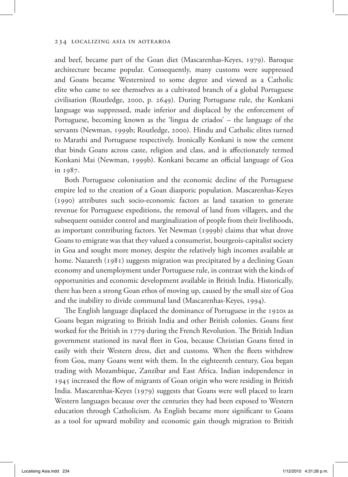and beef, became part of the Goan diet (Mascarenhas-Keyes, 1979). Baroque architecture became popular. Consequently, many customs were suppressed and Goans became Westernized to some degree and viewed as a Catholic elite who came to see themselves as a cultivated branch of a global Portuguese civilisation (Routledge, 2000, p. 2649). During Portuguese rule, the Konkani language was suppressed, made inferior and displaced by the enforcement of Portuguese, becoming known as the 'lingua de criados' – the language of the servants (Newman, 1999b; Routledge, 2000). Hindu and Catholic elites turned to Marathi and Portuguese respectively. Ironically Konkani is now the cement that binds Goans across caste, religion and class, and is affectionately termed Konkani Mai (Newman, 1999b). Konkani became an official language of Goa in 1987.

Both Portuguese colonisation and the economic decline of the Portuguese empire led to the creation of a Goan diasporic population. Mascarenhas-Keyes (1990) attributes such socio-economic factors as land taxation to generate revenue for Portuguese expeditions, the removal of land from villagers, and the subsequent outsider control and marginalization of people from their livelihoods, as important contributing factors. Yet Newman (1999b) claims that what drove Goans to emigrate was that they valued a consumerist, bourgeois-capitalist society in Goa and sought more money, despite the relatively high incomes available at home. Nazareth (1981) suggests migration was precipitated by a declining Goan economy and unemployment under Portuguese rule, in contrast with the kinds of opportunities and economic development available in British India. Historically, there has been a strong Goan ethos of moving up, caused by the small size of Goa and the inability to divide communal land (Mascarenhas-Keyes, 1994).

The English language displaced the dominance of Portuguese in the 1920s as Goans began migrating to British India and other British colonies. Goans first worked for the British in 1779 during the French Revolution. The British Indian government stationed its naval fleet in Goa, because Christian Goans fitted in easily with their Western dress, diet and customs. When the fleets withdrew from Goa, many Goans went with them. In the eighteenth century, Goa began trading with Mozambique, Zanzibar and East Africa. Indian independence in 1945 increased the flow of migrants of Goan origin who were residing in British India. Mascarenhas-Keyes (1979) suggests that Goans were well placed to learn Western languages because over the centuries they had been exposed to Western education through Catholicism. As English became more significant to Goans as a tool for upward mobility and economic gain though migration to British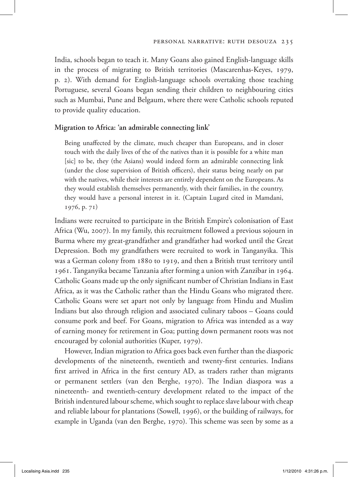India, schools began to teach it. Many Goans also gained English-language skills in the process of migrating to British territories (Mascarenhas-Keyes, 1979, p. 2). With demand for English-language schools overtaking those teaching Portuguese, several Goans began sending their children to neighbouring cities such as Mumbai, Pune and Belgaum, where there were Catholic schools reputed to provide quality education.

#### **Migration to Africa: 'an admirable connecting link'**

Being unaffected by the climate, much cheaper than Europeans, and in closer touch with the daily lives of the of the natives than it is possible for a white man [sic] to be, they (the Asians) would indeed form an admirable connecting link (under the close supervision of British officers), their status being nearly on par with the natives, while their interests are entirely dependent on the Europeans. As they would establish themselves permanently, with their families, in the country, they would have a personal interest in it. (Captain Lugard cited in Mamdani, 1976, p. 71)

Indians were recruited to participate in the British Empire's colonisation of East Africa (Wu, 2007). In my family, this recruitment followed a previous sojourn in Burma where my great-grandfather and grandfather had worked until the Great Depression. Both my grandfathers were recruited to work in Tanganyika. This was a German colony from 1880 to 1919, and then a British trust territory until 1961. Tanganyika became Tanzania after forming a union with Zanzibar in 1964. Catholic Goans made up the only significant number of Christian Indians in East Africa, as it was the Catholic rather than the Hindu Goans who migrated there. Catholic Goans were set apart not only by language from Hindu and Muslim Indians but also through religion and associated culinary taboos – Goans could consume pork and beef. For Goans, migration to Africa was intended as a way of earning money for retirement in Goa; putting down permanent roots was not encouraged by colonial authorities (Kuper, 1979).

However, Indian migration to Africa goes back even further than the diasporic developments of the nineteenth, twentieth and twenty-first centuries. Indians first arrived in Africa in the first century AD, as traders rather than migrants or permanent settlers (van den Berghe, 1970). The Indian diaspora was a nineteenth- and twentieth-century development related to the impact of the British indentured labour scheme, which sought to replace slave labour with cheap and reliable labour for plantations (Sowell, 1996), or the building of railways, for example in Uganda (van den Berghe, 1970). This scheme was seen by some as a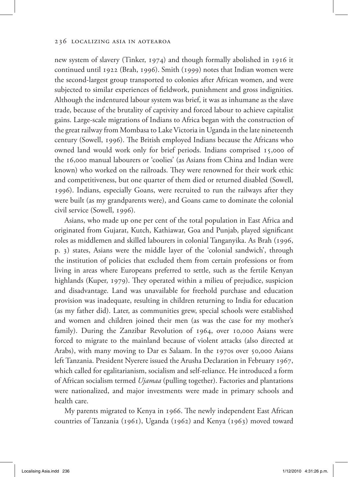new system of slavery (Tinker, 1974) and though formally abolished in 1916 it continued until 1922 (Brah, 1996). Smith (1999) notes that Indian women were the second-largest group transported to colonies after African women, and were subjected to similar experiences of fieldwork, punishment and gross indignities. Although the indentured labour system was brief, it was as inhumane as the slave trade, because of the brutality of captivity and forced labour to achieve capitalist gains. Large-scale migrations of Indians to Africa began with the construction of the great railway from Mombasa to Lake Victoria in Uganda in the late nineteenth century (Sowell, 1996). The British employed Indians because the Africans who owned land would work only for brief periods. Indians comprised 15,000 of the 16,000 manual labourers or 'coolies' (as Asians from China and Indian were known) who worked on the railroads. They were renowned for their work ethic and competitiveness, but one quarter of them died or returned disabled (Sowell, 1996). Indians, especially Goans, were recruited to run the railways after they were built (as my grandparents were), and Goans came to dominate the colonial civil service (Sowell, 1996).

Asians, who made up one per cent of the total population in East Africa and originated from Gujarat, Kutch, Kathiawar, Goa and Punjab, played significant roles as middlemen and skilled labourers in colonial Tanganyika. As Brah (1996, p. 3) states, Asians were the middle layer of the 'colonial sandwich', through the institution of policies that excluded them from certain professions or from living in areas where Europeans preferred to settle, such as the fertile Kenyan highlands (Kuper, 1979). They operated within a milieu of prejudice, suspicion and disadvantage. Land was unavailable for freehold purchase and education provision was inadequate, resulting in children returning to India for education (as my father did). Later, as communities grew, special schools were established and women and children joined their men (as was the case for my mother's family). During the Zanzibar Revolution of 1964, over 10,000 Asians were forced to migrate to the mainland because of violent attacks (also directed at Arabs), with many moving to Dar es Salaam. In the 1970s over 50,000 Asians left Tanzania. President Nyerere issued the Arusha Declaration in February 1967, which called for egalitarianism, socialism and self-reliance. He introduced a form of African socialism termed *Ujamaa* (pulling together). Factories and plantations were nationalized, and major investments were made in primary schools and health care.

My parents migrated to Kenya in 1966. The newly independent East African countries of Tanzania (1961), Uganda (1962) and Kenya (1963) moved toward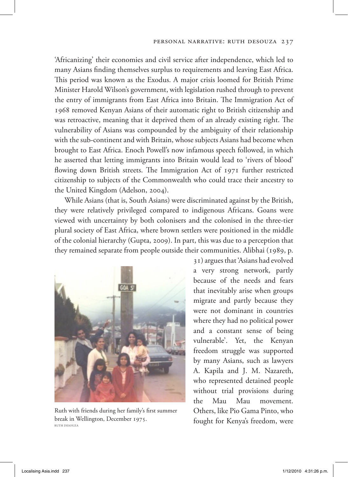#### Personal narrative: Ruth DeSouza 237

'Africanizing' their economies and civil service after independence, which led to many Asians finding themselves surplus to requirements and leaving East Africa. This period was known as the Exodus. A major crisis loomed for British Prime Minister Harold Wilson's government, with legislation rushed through to prevent the entry of immigrants from East Africa into Britain. The Immigration Act of 1968 removed Kenyan Asians of their automatic right to British citizenship and was retroactive, meaning that it deprived them of an already existing right. The vulnerability of Asians was compounded by the ambiguity of their relationship with the sub-continent and with Britain, whose subjects Asians had become when brought to East Africa. Enoch Powell's now infamous speech followed, in which he asserted that letting immigrants into Britain would lead to 'rivers of blood' flowing down British streets. The Immigration Act of 1971 further restricted citizenship to subjects of the Commonwealth who could trace their ancestry to the United Kingdom (Adelson, 2004).

While Asians (that is, South Asians) were discriminated against by the British, they were relatively privileged compared to indigenous Africans. Goans were viewed with uncertainty by both colonisers and the colonised in the three-tier plural society of East Africa, where brown settlers were positioned in the middle of the colonial hierarchy (Gupta, 2009). In part, this was due to a perception that they remained separate from people outside their communities. Alibhai (1989, p.



Ruth with friends during her family's first summer break in Wellington, December 1975. Ruth DeSouza

31) argues that 'Asians had evolved a very strong network, partly because of the needs and fears that inevitably arise when groups migrate and partly because they were not dominant in countries where they had no political power and a constant sense of being vulnerable'. Yet, the Kenyan freedom struggle was supported by many Asians, such as lawyers A. Kapila and J. M. Nazareth, who represented detained people without trial provisions during the Mau Mau movement. Others, like Pio Gama Pinto, who fought for Kenya's freedom, were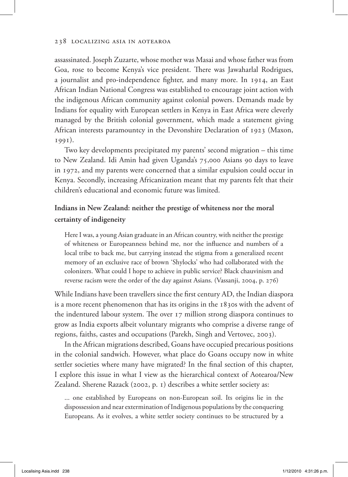assassinated. Joseph Zuzarte, whose mother was Masai and whose father was from Goa, rose to become Kenya's vice president. There was Jawaharlal Rodrigues, a journalist and pro-independence fighter, and many more. In 1914, an East African Indian National Congress was established to encourage joint action with the indigenous African community against colonial powers. Demands made by Indians for equality with European settlers in Kenya in East Africa were cleverly managed by the British colonial government, which made a statement giving African interests paramountcy in the Devonshire Declaration of 1923 (Maxon, 1991).

Two key developments precipitated my parents' second migration – this time to New Zealand. Idi Amin had given Uganda's 75,000 Asians 90 days to leave in 1972, and my parents were concerned that a similar expulsion could occur in Kenya. Secondly, increasing Africanization meant that my parents felt that their children's educational and economic future was limited.

# **Indians in New Zealand: neither the prestige of whiteness nor the moral certainty of indigeneity**

Here I was, a young Asian graduate in an African country, with neither the prestige of whiteness or Europeanness behind me, nor the influence and numbers of a local tribe to back me, but carrying instead the stigma from a generalized recent memory of an exclusive race of brown 'Shylocks' who had collaborated with the colonizers. What could I hope to achieve in public service? Black chauvinism and reverse racism were the order of the day against Asians. (Vassanji, 2004, p. 276)

While Indians have been travellers since the first century AD, the Indian diaspora is a more recent phenomenon that has its origins in the 1830s with the advent of the indentured labour system. The over 17 million strong diaspora continues to grow as India exports albeit voluntary migrants who comprise a diverse range of regions, faiths, castes and occupations (Parekh, Singh and Vertovec, 2003).

In the African migrations described, Goans have occupied precarious positions in the colonial sandwich. However, what place do Goans occupy now in white settler societies where many have migrated? In the final section of this chapter, I explore this issue in what I view as the hierarchical context of Aotearoa/New Zealand. Sherene Razack (2002, p. 1) describes a white settler society as:

... one established by Europeans on non-European soil. Its origins lie in the dispossession and near extermination of Indigenous populations by the conquering Europeans. As it evolves, a white settler society continues to be structured by a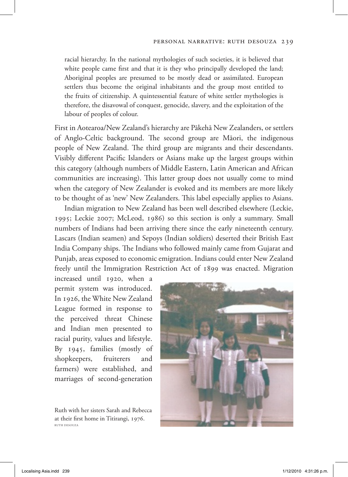#### Personal narrative: Ruth DeSouza 239

racial hierarchy. In the national mythologies of such societies, it is believed that white people came first and that it is they who principally developed the land; Aboriginal peoples are presumed to be mostly dead or assimilated. European settlers thus become the original inhabitants and the group most entitled to the fruits of citizenship. A quintessential feature of white settler mythologies is therefore, the disavowal of conquest, genocide, slavery, and the exploitation of the labour of peoples of colour.

First in Aotearoa/New Zealand's hierarchy are Pākehā New Zealanders, or settlers of Anglo-Celtic background. The second group are Māori, the indigenous people of New Zealand. The third group are migrants and their descendants. Visibly different Pacific Islanders or Asians make up the largest groups within this category (although numbers of Middle Eastern, Latin American and African communities are increasing). This latter group does not usually come to mind when the category of New Zealander is evoked and its members are more likely to be thought of as 'new' New Zealanders. This label especially applies to Asians.

Indian migration to New Zealand has been well described elsewhere (Leckie, 1995; Leckie 2007; McLeod, 1986) so this section is only a summary. Small numbers of Indians had been arriving there since the early nineteenth century. Lascars (Indian seamen) and Sepoys (Indian soldiers) deserted their British East India Company ships. The Indians who followed mainly came from Gujarat and Punjab, areas exposed to economic emigration. Indians could enter New Zealand freely until the Immigration Restriction Act of 1899 was enacted. Migration

increased until 1920, when a permit system was introduced. In 1926, the White New Zealand League formed in response to the perceived threat Chinese and Indian men presented to racial purity, values and lifestyle. By 1945, families (mostly of shopkeepers, fruiterers and farmers) were established, and marriages of second-generation

Ruth with her sisters Sarah and Rebecca at their first home in Titirangi, 1976. Ruth DeSouza

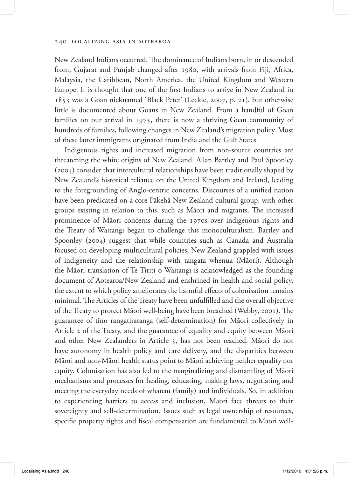New Zealand Indians occurred. The dominance of Indians born, in or descended from, Gujarat and Punjab changed after 1980, with arrivals from Fiji, Africa, Malaysia, the Caribbean, North America, the United Kingdom and Western Europe. It is thought that one of the first Indians to arrive in New Zealand in 1853 was a Goan nicknamed 'Black Peter' (Leckie, 2007, p. 21), but otherwise little is documented about Goans in New Zealand. From a handful of Goan families on our arrival in 1975, there is now a thriving Goan community of hundreds of families, following changes in New Zealand's migration policy. Most of these latter immigrants originated from India and the Gulf States.

Indigenous rights and increased migration from non-source countries are threatening the white origins of New Zealand. Allan Bartley and Paul Spoonley (2004) consider that intercultural relationships have been traditionally shaped by New Zealand's historical reliance on the United Kingdom and Ireland, leading to the foregrounding of Anglo-centric concerns. Discourses of a unified nation have been predicated on a core Pākehā New Zealand cultural group, with other groups existing in relation to this, such as Māori and migrants. The increased prominence of Māori concerns during the 1970s over indigenous rights and the Treaty of Waitangi began to challenge this monoculturalism. Bartley and Spoonley (2004) suggest that while countries such as Canada and Australia focused on developing multicultural policies, New Zealand grappled with issues of indigeneity and the relationship with tangata whenua (Māori). Although the Māori translation of Te Tiriti o Waitangi is acknowledged as the founding document of Aotearoa/New Zealand and enshrined in health and social policy, the extent to which policy ameliorates the harmful effects of colonisation remains minimal. The Articles of the Treaty have been unfulfilled and the overall objective of the Treaty to protect Māori well-being have been breached (Webby, 2001). The guarantee of tino rangatiratanga (self-determination) for Māori collectively in Article 2 of the Treaty, and the guarantee of equality and equity between Māori and other New Zealanders in Article 3, has not been reached. Māori do not have autonomy in health policy and care delivery, and the disparities between Māori and non-Māori health status point to Māori achieving neither equality nor equity. Colonisation has also led to the marginalizing and dismantling of Māori mechanisms and processes for healing, educating, making laws, negotiating and meeting the everyday needs of whanau (family) and individuals. So, in addition to experiencing barriers to access and inclusion, Māori face threats to their sovereignty and self-determination. Issues such as legal ownership of resources, specific property rights and fiscal compensation are fundamental to Māori well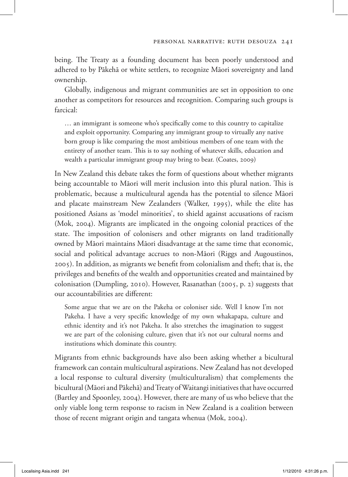being. The Treaty as a founding document has been poorly understood and adhered to by Pākehā or white settlers, to recognize Māori sovereignty and land ownership.

Globally, indigenous and migrant communities are set in opposition to one another as competitors for resources and recognition. Comparing such groups is farcical:

… an immigrant is someone who's specifically come to this country to capitalize and exploit opportunity. Comparing any immigrant group to virtually any native born group is like comparing the most ambitious members of one team with the entirety of another team. This is to say nothing of whatever skills, education and wealth a particular immigrant group may bring to bear. (Coates, 2009)

In New Zealand this debate takes the form of questions about whether migrants being accountable to Māori will merit inclusion into this plural nation. This is problematic, because a multicultural agenda has the potential to silence Māori and placate mainstream New Zealanders (Walker, 1995), while the elite has positioned Asians as 'model minorities', to shield against accusations of racism (Mok, 2004). Migrants are implicated in the ongoing colonial practices of the state. The imposition of colonisers and other migrants on land traditionally owned by Māori maintains Māori disadvantage at the same time that economic, social and political advantage accrues to non-Māori (Riggs and Augoustinos, 2005). In addition, as migrants we benefit from colonialism and theft; that is, the privileges and benefits of the wealth and opportunities created and maintained by colonisation (Dumpling, 2010). However, Rasanathan (2005, p. 2) suggests that our accountabilities are different:

Some argue that we are on the Pakeha or coloniser side. Well I know I'm not Pakeha. I have a very specific knowledge of my own whakapapa, culture and ethnic identity and it's not Pakeha. It also stretches the imagination to suggest we are part of the colonising culture, given that it's not our cultural norms and institutions which dominate this country.

Migrants from ethnic backgrounds have also been asking whether a bicultural framework can contain multicultural aspirations. New Zealand has not developed a local response to cultural diversity (multiculturalism) that complements the bicultural (Māori and Pākehā) and Treaty of Waitangi initiatives that have occurred (Bartley and Spoonley, 2004). However, there are many of us who believe that the only viable long term response to racism in New Zealand is a coalition between those of recent migrant origin and tangata whenua (Mok, 2004).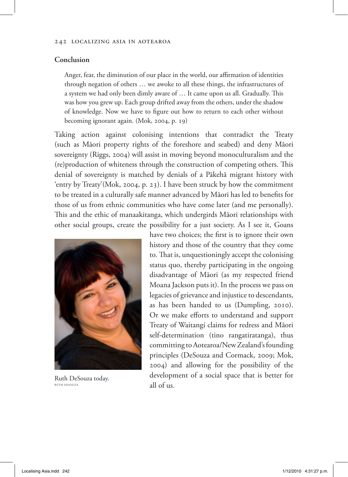### **Conclusion**

Anger, fear, the diminution of our place in the world, our affirmation of identities through negation of others … we awoke to all these things, the infrastructures of a system we had only been dimly aware of … It came upon us all. Gradually. This was how you grew up. Each group drifted away from the others, under the shadow of knowledge. Now we have to figure out how to return to each other without becoming ignorant again. (Mok, 2004, p. 19)

Taking action against colonising intentions that contradict the Treaty (such as Māori property rights of the foreshore and seabed) and deny Māori sovereignty (Riggs, 2004) will assist in moving beyond monoculturalism and the (re)production of whiteness through the construction of competing others. This denial of sovereignty is matched by denials of a Pākehā migrant history with 'entry by Treaty'(Mok, 2004, p. 23). I have been struck by how the commitment to be treated in a culturally safe manner advanced by Māori has led to benefits for those of us from ethnic communities who have come later (and me personally). This and the ethic of manaakitanga, which undergirds Māori relationships with other social groups, create the possibility for a just society. As I see it, Goans



Ruth DeSouza today. Ruth DeSouza

have two choices; the first is to ignore their own history and those of the country that they come to. That is, unquestioningly accept the colonising status quo, thereby participating in the ongoing disadvantage of Māori (as my respected friend Moana Jackson puts it). In the process we pass on legacies of grievance and injustice to descendants, as has been handed to us (Dumpling, 2010). Or we make efforts to understand and support Treaty of Waitangi claims for redress and Māori self-determination (tino rangatiratanga), thus committing to Aotearoa/New Zealand's founding principles (DeSouza and Cormack, 2009; Mok, 2004) and allowing for the possibility of the development of a social space that is better for all of us.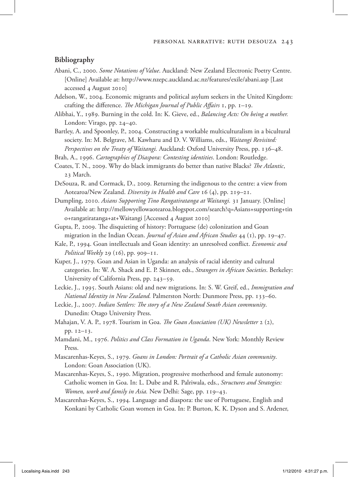#### **Bibliography**

- Abani, C., 2000. *Some Notations of Value*. Auckland: New Zealand Electronic Poetry Centre. [Online] Available at: http://www.nzepc.auckland.ac.nz/features/exile/abani.asp [Last accessed 4 August 2010]
- Adelson, W., 2004. Economic migrants and political asylum seekers in the United Kingdom: crafting the difference. *The Michigan Journal of Public Affairs* 1, pp. 1–19.
- Alibhai, Y., 1989. Burning in the cold. In: K. Gieve, ed., *Balancing Acts: On being a mother.* London: Virago, pp. 24–40.
- Bartley, A. and Spoonley, P., 2004. Constructing a workable multiculturalism in a bicultural society. In: M. Belgrave, M. Kawharu and D. V. Williams, eds., *Waitangi Revisited: Perspectives on the Treaty of Waitangi.* Auckland: Oxford University Press, pp. 136–48.
- Brah, A., 1996. *Cartographies of Diaspora: Contesting identities*. London: Routledge.
- Coates, T. N., 2009. Why do black immigrants do better than native Blacks? *The Atlantic*, 23 March.
- DeSouza, R. and Cormack, D., 2009. Returning the indigenous to the centre: a view from Aotearoa/New Zealand. *Diversity in Health and Care* 16 (4), pp. 219–21.
- Dumpling, 2010. *Asians Supporting Tino Rangatiratanga at Waitangi.* 31 January. [Online] Available at: http://mellowyellowaotearoa.blogspot.com/search?q=Asians+supporting+tin o+rangatiratanga+at+Waitangi [Accessed 4 August 2010]
- Gupta, P., 2009. The disquieting of history: Portuguese (de) colonization and Goan migration in the Indian Ocean. *Journal of Asian and African Studies* 44 (1), pp. 19–47.
- Kale, P., 1994. Goan intellectuals and Goan identity: an unresolved conflict. *Economic and Political Weekly* 29 (16), pp. 909–11.
- Kuper, J., 1979. Goan and Asian in Uganda: an analysis of racial identity and cultural categories. In: W. A. Shack and E. P. Skinner, eds., *Strangers in African Societies*. Berkeley: University of California Press, pp. 243–59.
- Leckie, J., 1995. South Asians: old and new migrations. In: S. W. Greif, ed., *Immigration and National Identity in New Zealand.* Palmerston North: Dunmore Press, pp. 133–60.
- Leckie, J., 2007. *Indian Settlers: The story of a New Zealand South Asian community*. Dunedin: Otago University Press.
- Mahajan, V. A. P., 1978. Tourism in Goa. *The Goan Association (UK) Newsletter* 2 (2), pp. 12–13.
- Mamdani, M., 1976. *Politics and Class Formation in Uganda*. New York: Monthly Review Press.
- Mascarenhas-Keyes, S., 1979. *Goans in London: Portrait of a Catholic Asian community*. London: Goan Association (UK).
- Mascarenhas-Keyes, S., 1990. Migration, progressive motherhood and female autonomy: Catholic women in Goa. In: L. Dube and R. Palriwala, eds., *Structures and Strategies: Women, work and family in Asia.* New Delhi: Sage, pp. 119–43.
- Mascarenhas-Keyes, S., 1994. Language and diaspora: the use of Portuguese, English and Konkani by Catholic Goan women in Goa. In: P. Burton, K. K. Dyson and S. Ardener,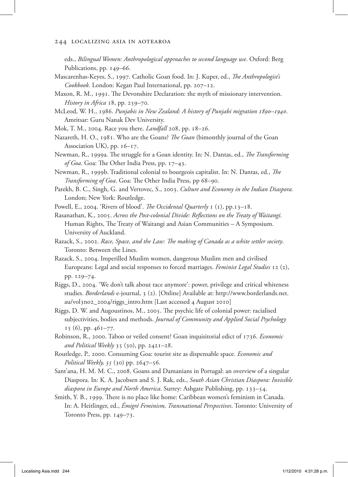eds., *Bilingual Women: Anthropological approaches to second language use*. Oxford: Berg Publications, pp. 149–66.

- Mascarenhas-Keyes, S., 1997. Catholic Goan food. In: J. Kuper, ed., *The Anthropologist's Cookbook.* London: Kegan Paul International, pp. 207–12.
- Maxon, R. M., 1991. The Devonshire Declaration: the myth of missionary intervention. *History in Africa* 18, pp. 259–70.
- McLeod, W. H., 1986. *Punjabis in New Zealand: A history of Punjabi migration 1890–1940*. Amritsar: Guru Nanak Dev University.
- Mok, T. M., 2004. Race you there. *Landfall* 208, pp. 18–26.
- Nazareth, H. O., 1981. Who are the Goans? *The Goan* (bimonthly journal of the Goan Association UK), pp. 16–17.
- Newman, R., 1999a. The struggle for a Goan identity. In: N. Dantas, ed., *The Transforming of Goa*. Goa: The Other India Press, pp. 17–43.
- Newman, R., 1999b. Traditional colonial to bourgeois capitalist. In: N. Dantas, ed., *The Transforming of Goa*. Goa: The Other India Press, pp 68–90.
- Parekh, B. C., Singh, G. and Vertovec, S., 2003. *Culture and Economy in the Indian Diaspora.* London; New York: Routledge.

Powell, E., 2004. 'Rivers of blood'. *The Occidental Quarterly* 1 (1), pp.13–18.

- Rasanathan, K., 2005. *Across the Post-colonial Divide: Reflections on the Treaty of Waitangi.* Human Rights, The Treaty of Waitangi and Asian Communities – A Symposium. University of Auckland.
- Razack, S., 2002. *Race, Space, and the Law: The making of Canada as a white settler society*. Toronto: Between the Lines.
- Razack, S., 2004. Imperilled Muslim women, dangerous Muslim men and civilised Europeans: Legal and social responses to forced marriages. *Feminist Legal Studies* 12 (2), pp. 129–74.
- Riggs, D., 2004. 'We don't talk about race anymore': power, privilege and critical whiteness studies. *Borderlands* e-journal, 3 (2). [Online] Available at: http://www.borderlands.net. au/vol3no2\_2004/riggs\_intro.htm [Last accessed 4 August 2010]
- Riggs, D. W. and Augoustinos, M., 2005. The psychic life of colonial power: racialised subjectivities, bodies and methods. *Journal of Community and Applied Social Psychology*  $15 (6)$ , pp.  $461–77$ .
- Robinson, R., 2000. Taboo or veiled consent? Goan inquisitorial edict of 1736. *Economic and Political Weekly* 35 (30), pp. 2421–28.
- Routledge, P., 2000. Consuming Goa: tourist site as dispensable space. *Economic and Political Weekly, 35* (30) pp. 2647–56.
- Sant'ana, H. M. M. C., 2008. Goans and Damanians in Portugal: an overview of a singular Diaspora. In: K. A. Jacobsen and S. J. Rak, eds., *South Asian Christian Diaspora: Invisible diaspora in Europe and North America*. Surrey: Ashgate Publishing, pp. 133–54.
- Smith, Y. B., 1999. There is no place like home: Caribbean women's feminism in Canada. In: A. Heitlinger, ed., *Émigré Feminism, Transnational Perspectives*. Toronto: University of Toronto Press, pp. 149–73.